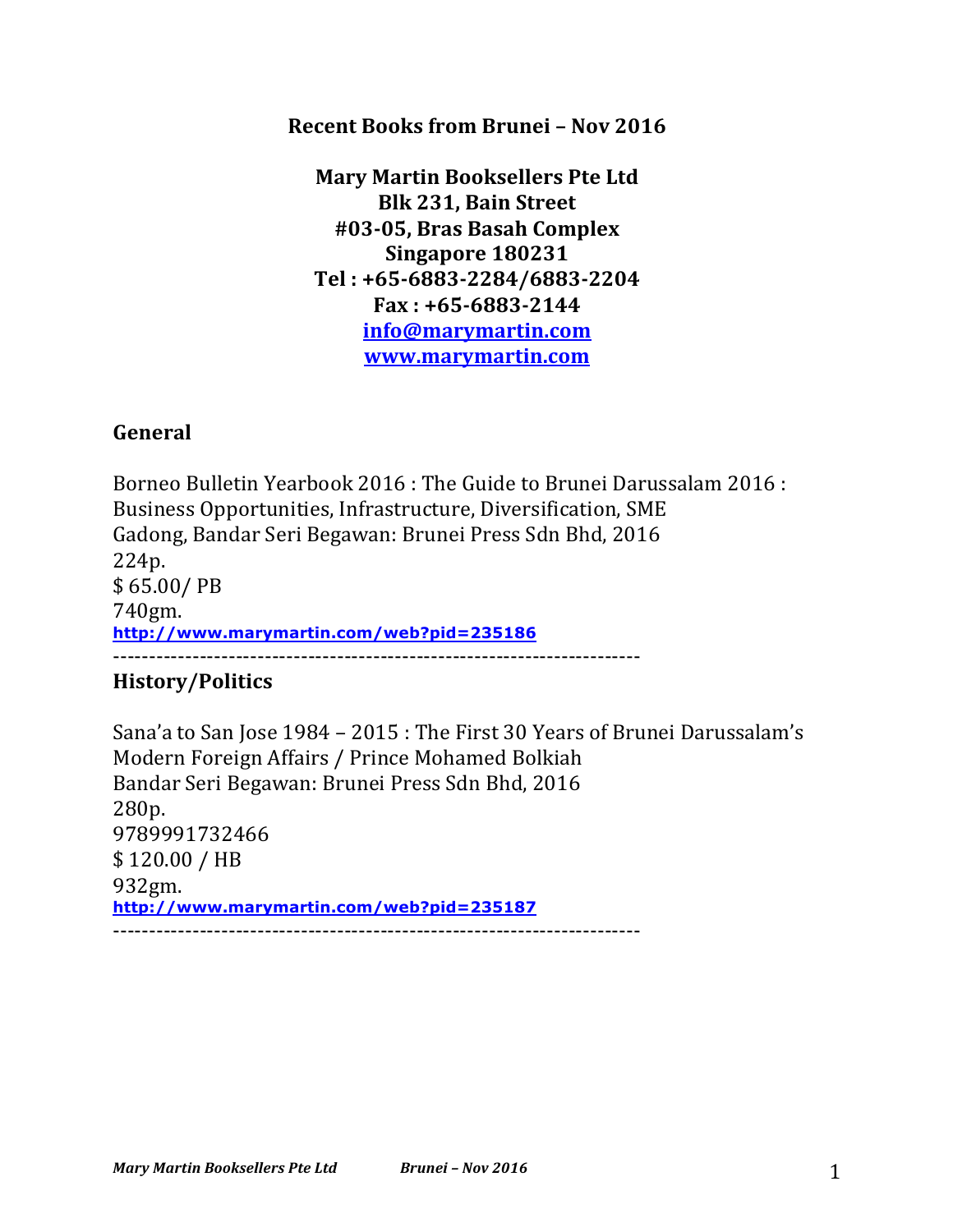**Recent Books from Brunei - Nov 2016** 

**Mary Martin Booksellers Pte Ltd Blk 231, Bain Street #03-05, Bras Basah Complex Singapore 180231 Tel : +65-6883-2284/6883-2204 Fax : +65-6883-2144 info@marymartin.com www.marymartin.com**

## **General**

Borneo Bulletin Yearbook 2016 : The Guide to Brunei Darussalam 2016 : Business Opportunities, Infrastructure, Diversification, SME Gadong, Bandar Seri Begawan: Brunei Press Sdn Bhd, 2016 224p. \$ 65.00/ PB 740gm. **http://www.marymartin.com/web?pid=235186** -------------------------------------------------------------------------

## **History/Politics**

Sana'a to San Jose 1984 - 2015 : The First 30 Years of Brunei Darussalam's Modern Foreign Affairs / Prince Mohamed Bolkiah Bandar Seri Begawan: Brunei Press Sdn Bhd, 2016 280p. 9789991732466 \$ 120.00 / HB 932gm. **http://www.marymartin.com/web?pid=235187** -------------------------------------------------------------------------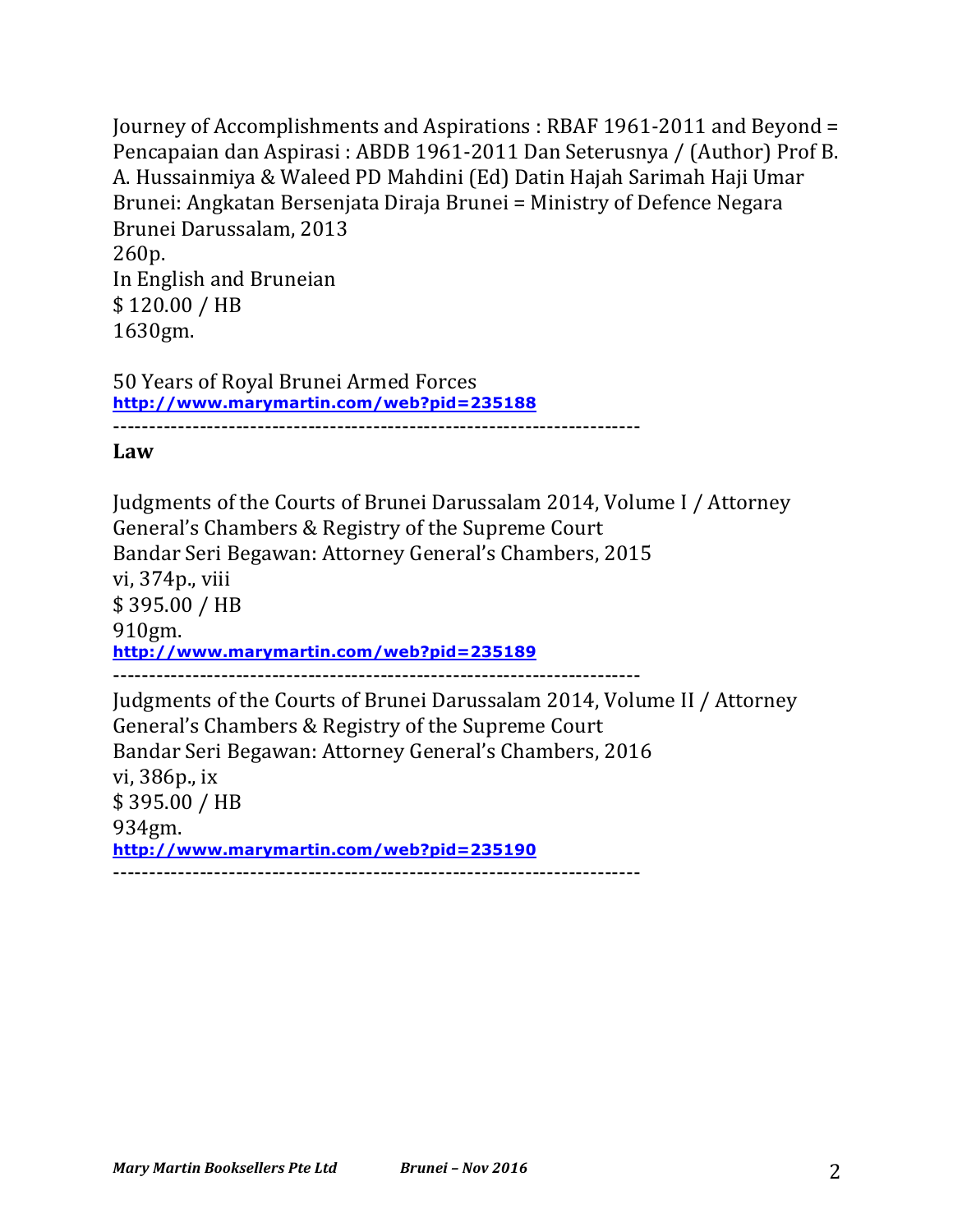Journey of Accomplishments and Aspirations : RBAF 1961-2011 and Beyond = Pencapaian dan Aspirasi : ABDB 1961-2011 Dan Seterusnya / (Author) Prof B. A. Hussainmiya & Waleed PD Mahdini (Ed) Datin Hajah Sarimah Haji Umar Brunei: Angkatan Bersenjata Diraja Brunei = Ministry of Defence Negara Brunei Darussalam, 2013 260p. In English and Bruneian \$120.00 / HB 1630gm.

50 Years of Royal Brunei Armed Forces **http://www.marymartin.com/web?pid=235188** -------------------------------------------------------------------------

**Law**

Judgments of the Courts of Brunei Darussalam 2014, Volume I / Attorney General's Chambers & Registry of the Supreme Court Bandar Seri Begawan: Attorney General's Chambers, 2015 vi, 374p., viii \$ 395.00 / HB 910gm. **http://www.marymartin.com/web?pid=235189** ------------------------------------------------------------------------- Judgments of the Courts of Brunei Darussalam 2014, Volume II / Attorney General's Chambers & Registry of the Supreme Court Bandar Seri Begawan: Attorney General's Chambers, 2016 vi, 386p., ix \$ 395.00 / HB 934gm. **http://www.marymartin.com/web?pid=235190**

-------------------------------------------------------------------------